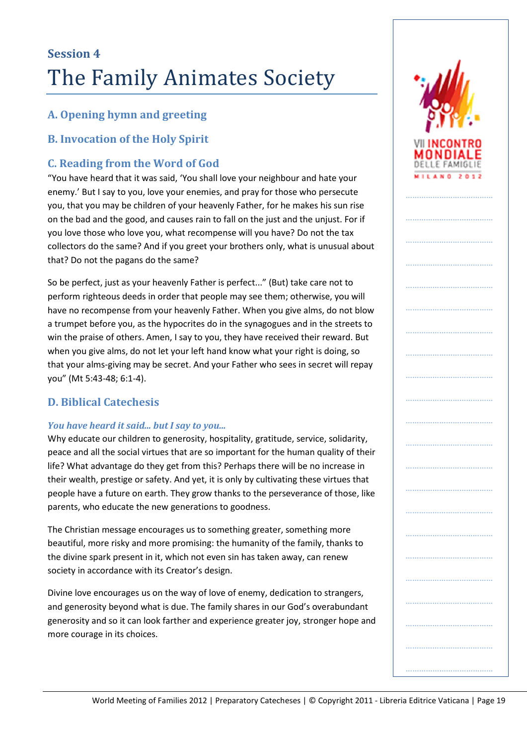## **A. Opening hymn and greeting**

## **B. Invocation of the Holy Spirit**

## **C. Reading from the Word of God**

"You have heard that it was said, 'You shall love your neighbour and hate your enemy.' But I say to you, love your enemies, and pray for those who persecute you, that you may be children of your heavenly Father, for he makes his sun rise on the bad and the good, and causes rain to fall on the just and the unjust. For if you love those who love you, what recompense will you have? Do not the tax collectors do the same? And if you greet your brothers only, what is unusual about that? Do not the pagans do the same?

So be perfect, just as your heavenly Father is perfect..." (But) take care not to perform righteous deeds in order that people may see them; otherwise, you will have no recompense from your heavenly Father. When you give alms, do not blow a trumpet before you, as the hypocrites do in the synagogues and in the streets to win the praise of others. Amen, I say to you, they have received their reward. But when you give alms, do not let your left hand know what your right is doing, so that your alms-giving may be secret. And your Father who sees in secret will repay you" (Mt 5:43-48; 6:1-4).

## **D. Biblical Catechesis**

### *You have heard it said... but I say to you...*

Why educate our children to generosity, hospitality, gratitude, service, solidarity, peace and all the social virtues that are so important for the human quality of their life? What advantage do they get from this? Perhaps there will be no increase in their wealth, prestige or safety. And yet, it is only by cultivating these virtues that people have a future on earth. They grow thanks to the perseverance of those, like parents, who educate the new generations to goodness.

The Christian message encourages us to something greater, something more beautiful, more risky and more promising: the humanity of the family, thanks to the divine spark present in it, which not even sin has taken away, can renew society in accordance with its Creator's design.

Divine love encourages us on the way of love of enemy, dedication to strangers, and generosity beyond what is due. The family shares in our God's overabundant generosity and so it can look farther and experience greater joy, stronger hope and more courage in its choices.



…………………………………

…………………………………

……………………………………………

…………………………………

……………………………………

…………………………………

………………………………

…………………………………

…………………………………

…………………………………

…………………………………

…………………………………

…………………………………

…………………………………

……………………………………………

…………………………………

……………………………………………

………………………………………………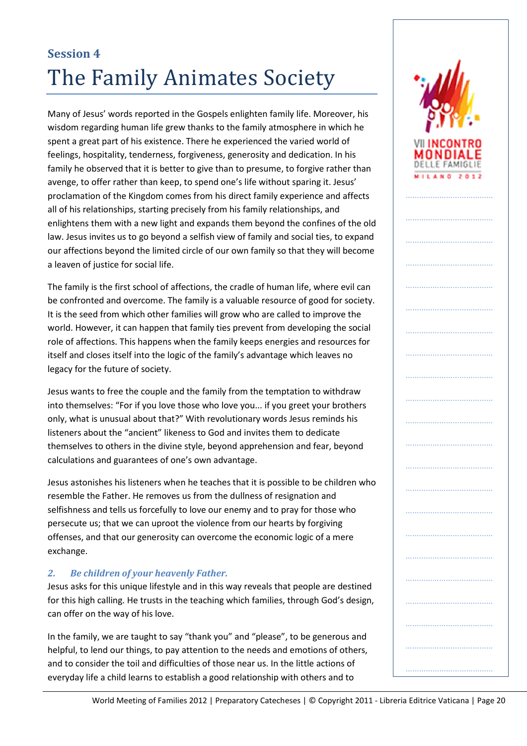Many of Jesus' words reported in the Gospels enlighten family life. Moreover, his wisdom regarding human life grew thanks to the family atmosphere in which he spent a great part of his existence. There he experienced the varied world of feelings, hospitality, tenderness, forgiveness, generosity and dedication. In his family he observed that it is better to give than to presume, to forgive rather than avenge, to offer rather than keep, to spend one's life without sparing it. Jesus' proclamation of the Kingdom comes from his direct family experience and affects all of his relationships, starting precisely from his family relationships, and enlightens them with a new light and expands them beyond the confines of the old law. Jesus invites us to go beyond a selfish view of family and social ties, to expand our affections beyond the limited circle of our own family so that they will become a leaven of justice for social life.

The family is the first school of affections, the cradle of human life, where evil can be confronted and overcome. The family is a valuable resource of good for society. It is the seed from which other families will grow who are called to improve the world. However, it can happen that family ties prevent from developing the social role of affections. This happens when the family keeps energies and resources for itself and closes itself into the logic of the family's advantage which leaves no legacy for the future of society.

Jesus wants to free the couple and the family from the temptation to withdraw into themselves: "For if you love those who love you... if you greet your brothers only, what is unusual about that?" With revolutionary words Jesus reminds his listeners about the "ancient" likeness to God and invites them to dedicate themselves to others in the divine style, beyond apprehension and fear, beyond calculations and guarantees of one's own advantage.

Jesus astonishes his listeners when he teaches that it is possible to be children who resemble the Father. He removes us from the dullness of resignation and selfishness and tells us forcefully to love our enemy and to pray for those who persecute us; that we can uproot the violence from our hearts by forgiving offenses, and that our generosity can overcome the economic logic of a mere exchange.

## *2. Be children of your heavenly Father.*

Jesus asks for this unique lifestyle and in this way reveals that people are destined for this high calling. He trusts in the teaching which families, through God's design, can offer on the way of his love.

In the family, we are taught to say "thank you" and "please", to be generous and helpful, to lend our things, to pay attention to the needs and emotions of others, and to consider the toil and difficulties of those near us. In the little actions of everyday life a child learns to establish a good relationship with others and to

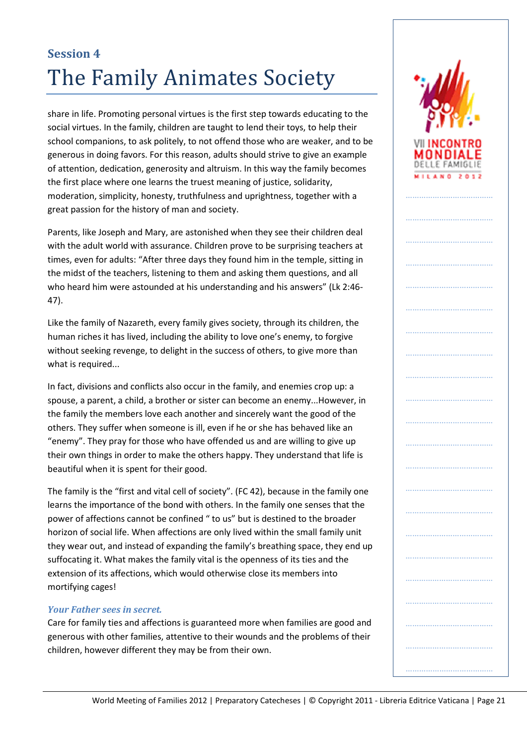share in life. Promoting personal virtues is the first step towards educating to the social virtues. In the family, children are taught to lend their toys, to help their school companions, to ask politely, to not offend those who are weaker, and to be generous in doing favors. For this reason, adults should strive to give an example of attention, dedication, generosity and altruism. In this way the family becomes the first place where one learns the truest meaning of justice, solidarity, moderation, simplicity, honesty, truthfulness and uprightness, together with a great passion for the history of man and society.

Parents, like Joseph and Mary, are astonished when they see their children deal with the adult world with assurance. Children prove to be surprising teachers at times, even for adults: "After three days they found him in the temple, sitting in the midst of the teachers, listening to them and asking them questions, and all who heard him were astounded at his understanding and his answers" (Lk 2:46- 47).

Like the family of Nazareth, every family gives society, through its children, the human riches it has lived, including the ability to love one's enemy, to forgive without seeking revenge, to delight in the success of others, to give more than what is required...

In fact, divisions and conflicts also occur in the family, and enemies crop up: a spouse, a parent, a child, a brother or sister can become an enemy...However, in the family the members love each another and sincerely want the good of the others. They suffer when someone is ill, even if he or she has behaved like an "enemy". They pray for those who have offended us and are willing to give up their own things in order to make the others happy. They understand that life is beautiful when it is spent for their good.

The family is the "first and vital cell of society". (FC 42), because in the family one learns the importance of the bond with others. In the family one senses that the power of affections cannot be confined " to us" but is destined to the broader horizon of social life. When affections are only lived within the small family unit they wear out, and instead of expanding the family's breathing space, they end up suffocating it. What makes the family vital is the openness of its ties and the extension of its affections, which would otherwise close its members into mortifying cages!

#### *Your Father sees in secret.*

Care for family ties and affections is guaranteed more when families are good and generous with other families, attentive to their wounds and the problems of their children, however different they may be from their own.

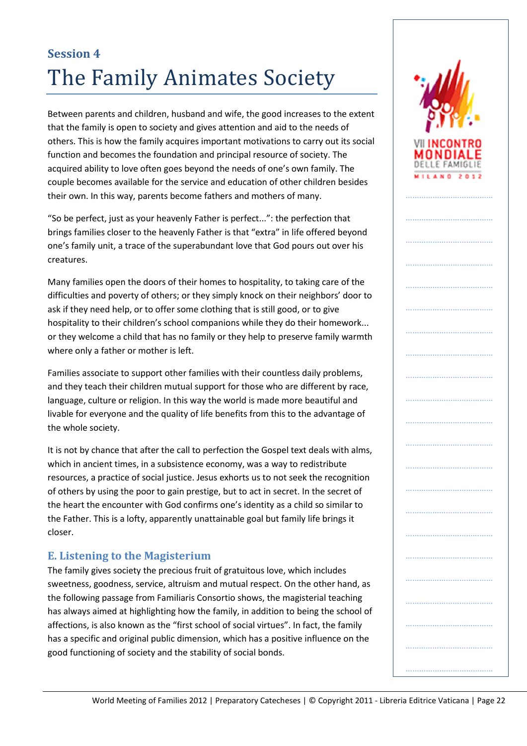Between parents and children, husband and wife, the good increases to the extent that the family is open to society and gives attention and aid to the needs of others. This is how the family acquires important motivations to carry out its social function and becomes the foundation and principal resource of society. The acquired ability to love often goes beyond the needs of one's own family. The couple becomes available for the service and education of other children besides their own. In this way, parents become fathers and mothers of many.

"So be perfect, just as your heavenly Father is perfect...": the perfection that brings families closer to the heavenly Father is that "extra" in life offered beyond one's family unit, a trace of the superabundant love that God pours out over his creatures.

Many families open the doors of their homes to hospitality, to taking care of the difficulties and poverty of others; or they simply knock on their neighbors' door to ask if they need help, or to offer some clothing that is still good, or to give hospitality to their children's school companions while they do their homework... or they welcome a child that has no family or they help to preserve family warmth where only a father or mother is left.

Families associate to support other families with their countless daily problems, and they teach their children mutual support for those who are different by race, language, culture or religion. In this way the world is made more beautiful and livable for everyone and the quality of life benefits from this to the advantage of the whole society.

It is not by chance that after the call to perfection the Gospel text deals with alms, which in ancient times, in a subsistence economy, was a way to redistribute resources, a practice of social justice. Jesus exhorts us to not seek the recognition of others by using the poor to gain prestige, but to act in secret. In the secret of the heart the encounter with God confirms one's identity as a child so similar to the Father. This is a lofty, apparently unattainable goal but family life brings it closer.

## **E. Listening to the Magisterium**

The family gives society the precious fruit of gratuitous love, which includes sweetness, goodness, service, altruism and mutual respect. On the other hand, as the following passage from Familiaris Consortio shows, the magisterial teaching has always aimed at highlighting how the family, in addition to being the school of affections, is also known as the "first school of social virtues". In fact, the family has a specific and original public dimension, which has a positive influence on the good functioning of society and the stability of social bonds.